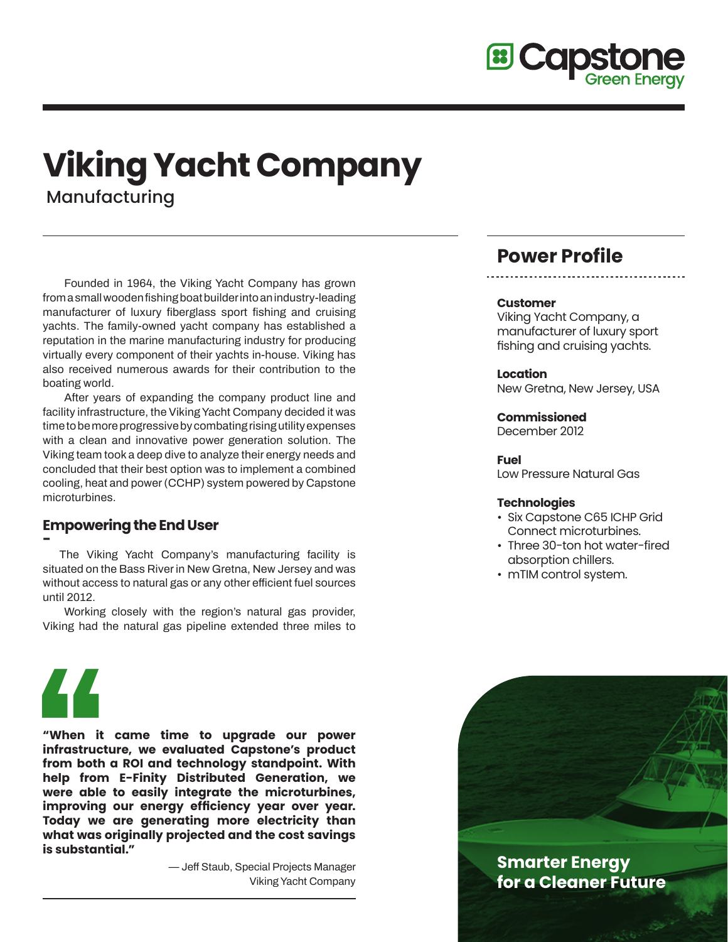

# **Viking Yacht Company** Manufacturing

**Founded in 1964, the Viking Yacht Company has grown from a small wooden fishing boat builder into an industry-leading manufacturer of luxury fiberglass sport fishing and cruising yachts. The family-owned yacht company has established a reputation in the marine manufacturing industry for producing virtually every component of their yachts in-house. Viking has also received numerous awards for their contribution to the boating world.**

**After years of expanding the company product line and facility infrastructure, the Viking Yacht Company decided it was time to be more progressive by combating rising utility expenses with a clean and innovative power generation solution. The Viking team took a deep dive to analyze their energy needs and concluded that their best option was to implement a combined cooling, heat and power (CCHP) system powered by Capstone microturbines.**

## **Empowering the End User**

**- The Viking Yacht Company's manufacturing facility is situated on the Bass River in New Gretna, New Jersey and was without access to natural gas or any other efficient fuel sources until 2012.**

**Working closely with the region's natural gas provider, Viking had the natural gas pipeline extended three miles to** 

# **Power Profile**

#### **Customer**

Viking Yacht Company, a manufacturer of luxury sport fishing and cruising yachts.

**Location** New Gretna, New Jersey, USA

#### **Commissioned**

December 2012

#### **Fuel**

Low Pressure Natural Gas

#### **Technologies**

- Six Capstone C65 ICHP Grid Connect microturbines.
- Three 30-ton hot water-fired absorption chillers.
- mTIM control system.



**"When it came time to upgrade our power infrastructure, we evaluated Capstone's product from both a ROI and technology standpoint. With help from E-Finity Distributed Generation, we were able to easily integrate the microturbines, improving our energy efficiency year over year. Today we are generating more electricity than what was originally projected and the cost savings is substantial."**

> **— Jeff Staub, Special Projects Manager Viking Yacht Company**



**for a Cleaner Future**